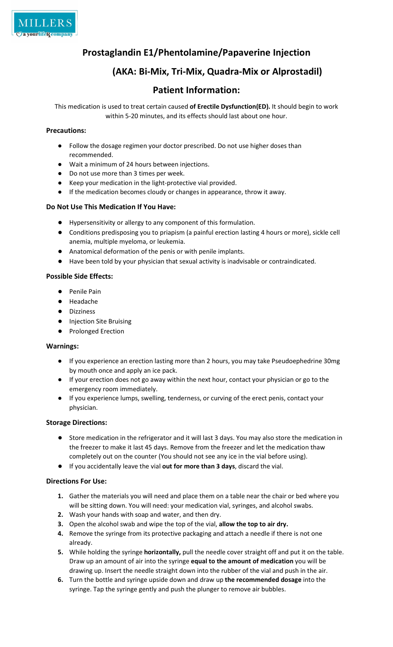

## Prostaglandin E1/Phentolamine/Papaverine Injection

## (AKA: Bi-Mix, Tri-Mix, Quadra-Mix or Alprostadil)

### Patient Information:

This medication is used to treat certain caused of Erectile Dysfunction(ED). It should begin to work within 5-20 minutes, and its effects should last about one hour.

#### Precautions:

- Follow the dosage regimen your doctor prescribed. Do not use higher doses than recommended.
- Wait a minimum of 24 hours between injections.
- Do not use more than 3 times per week.
- Keep your medication in the light-protective vial provided.
- If the medication becomes cloudy or changes in appearance, throw it away.

#### Do Not Use This Medication If You Have:

- Hypersensitivity or allergy to any component of this formulation.
- Conditions predisposing you to priapism (a painful erection lasting 4 hours or more), sickle cell anemia, multiple myeloma, or leukemia.
- Anatomical deformation of the penis or with penile implants.
- Have been told by your physician that sexual activity is inadvisable or contraindicated.

#### Possible Side Effects:

- Penile Pain
- Headache
- Dizziness
- Injection Site Bruising
- Prolonged Erection

#### Warnings:

- If you experience an erection lasting more than 2 hours, you may take Pseudoephedrine 30mg by mouth once and apply an ice pack.
- If your erection does not go away within the next hour, contact your physician or go to the emergency room immediately.
- If you experience lumps, swelling, tenderness, or curving of the erect penis, contact your physician.

#### Storage Directions:

- Store medication in the refrigerator and it will last 3 days. You may also store the medication in the freezer to make it last 45 days. Remove from the freezer and let the medication thaw completely out on the counter (You should not see any ice in the vial before using).
- If you accidentally leave the vial out for more than 3 days, discard the vial.

#### Directions For Use:

- 1. Gather the materials you will need and place them on a table near the chair or bed where you will be sitting down. You will need: your medication vial, syringes, and alcohol swabs.
- 2. Wash your hands with soap and water, and then dry.
- 3. Open the alcohol swab and wipe the top of the vial, allow the top to air dry.
- 4. Remove the syringe from its protective packaging and attach a needle if there is not one already.
- 5. While holding the syringe horizontally, pull the needle cover straight off and put it on the table. Draw up an amount of air into the syringe equal to the amount of medication you will be drawing up. Insert the needle straight down into the rubber of the vial and push in the air.
- 6. Turn the bottle and syringe upside down and draw up the recommended dosage into the syringe. Tap the syringe gently and push the plunger to remove air bubbles.